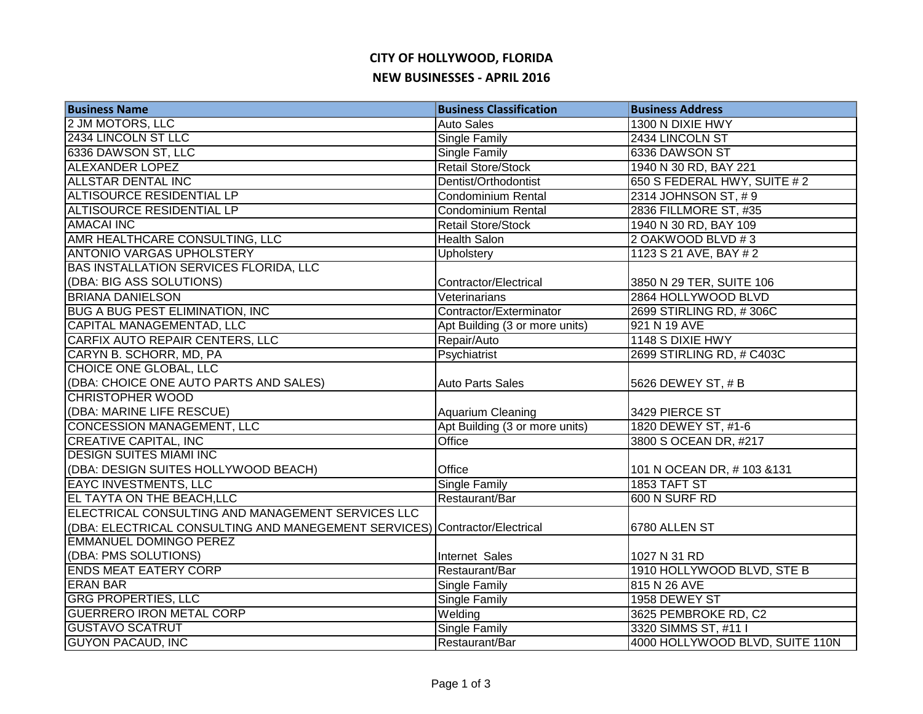## **CITY OF HOLLYWOOD, FLORIDA NEW BUSINESSES - APRIL 2016**

| <b>Business Name</b>                                                       | <b>Business Classification</b> | <b>Business Address</b>         |
|----------------------------------------------------------------------------|--------------------------------|---------------------------------|
| 2 JM MOTORS, LLC                                                           | <b>Auto Sales</b>              | 1300 N DIXIE HWY                |
| 2434 LINCOLN ST LLC                                                        | Single Family                  | 2434 LINCOLN ST                 |
| 6336 DAWSON ST, LLC                                                        | Single Family                  | 6336 DAWSON ST                  |
| <b>ALEXANDER LOPEZ</b>                                                     | <b>Retail Store/Stock</b>      | 1940 N 30 RD, BAY 221           |
| <b>ALLSTAR DENTAL INC</b>                                                  | Dentist/Orthodontist           | 650 S FEDERAL HWY, SUITE #2     |
| <b>ALTISOURCE RESIDENTIAL LP</b>                                           | Condominium Rental             | 2314 JOHNSON ST, #9             |
| ALTISOURCE RESIDENTIAL LP                                                  | <b>Condominium Rental</b>      | 2836 FILLMORE ST, #35           |
| <b>AMACAI INC</b>                                                          | <b>Retail Store/Stock</b>      | 1940 N 30 RD, BAY 109           |
| AMR HEALTHCARE CONSULTING, LLC                                             | <b>Health Salon</b>            | 2 OAKWOOD BLVD #3               |
| <b>ANTONIO VARGAS UPHOLSTERY</b>                                           | Upholstery                     | 1123 S 21 AVE, BAY # 2          |
| <b>BAS INSTALLATION SERVICES FLORIDA, LLC</b>                              |                                |                                 |
| (DBA: BIG ASS SOLUTIONS)                                                   | Contractor/Electrical          | 3850 N 29 TER, SUITE 106        |
| <b>BRIANA DANIELSON</b>                                                    | Veterinarians                  | 2864 HOLLYWOOD BLVD             |
| <b>BUG A BUG PEST ELIMINATION, INC</b>                                     | Contractor/Exterminator        | 2699 STIRLING RD, #306C         |
| CAPITAL MANAGEMENTAD, LLC                                                  | Apt Building (3 or more units) | 921 N 19 AVE                    |
| CARFIX AUTO REPAIR CENTERS, LLC                                            | Repair/Auto                    | 1148 S DIXIE HWY                |
| CARYN B. SCHORR, MD, PA                                                    | Psychiatrist                   | 2699 STIRLING RD, # C403C       |
| <b>CHOICE ONE GLOBAL, LLC</b>                                              |                                |                                 |
| (DBA: CHOICE ONE AUTO PARTS AND SALES)                                     | <b>Auto Parts Sales</b>        | 5626 DEWEY ST, # B              |
| <b>CHRISTOPHER WOOD</b>                                                    |                                |                                 |
| (DBA: MARINE LIFE RESCUE)                                                  | Aquarium Cleaning              | 3429 PIERCE ST                  |
| <b>CONCESSION MANAGEMENT, LLC</b>                                          | Apt Building (3 or more units) | 1820 DEWEY ST, #1-6             |
| <b>CREATIVE CAPITAL, INC</b>                                               | Office                         | 3800 S OCEAN DR, #217           |
| <b>DESIGN SUITES MIAMI INC</b>                                             |                                |                                 |
| (DBA: DESIGN SUITES HOLLYWOOD BEACH)                                       | Office                         | 101 N OCEAN DR, #103 &131       |
| <b>EAYC INVESTMENTS, LLC</b>                                               | <b>Single Family</b>           | 1853 TAFT ST                    |
| EL TAYTA ON THE BEACH, LLC                                                 | Restaurant/Bar                 | 600 N SURF RD                   |
| ELECTRICAL CONSULTING AND MANAGEMENT SERVICES LLC                          |                                |                                 |
| (DBA: ELECTRICAL CONSULTING AND MANEGEMENT SERVICES) Contractor/Electrical |                                | 6780 ALLEN ST                   |
| <b>EMMANUEL DOMINGO PEREZ</b>                                              |                                |                                 |
| (DBA: PMS SOLUTIONS)                                                       | Internet Sales                 | 1027 N 31 RD                    |
| <b>ENDS MEAT EATERY CORP</b>                                               | Restaurant/Bar                 | 1910 HOLLYWOOD BLVD, STE B      |
| <b>ERAN BAR</b>                                                            | Single Family                  | 815 N 26 AVE                    |
| <b>GRG PROPERTIES, LLC</b>                                                 | <b>Single Family</b>           | 1958 DEWEY ST                   |
| <b>GUERRERO IRON METAL CORP</b>                                            | Welding                        | 3625 PEMBROKE RD, C2            |
| <b>GUSTAVO SCATRUT</b>                                                     | Single Family                  | 3320 SIMMS ST, #11 I            |
| <b>GUYON PACAUD, INC</b>                                                   | Restaurant/Bar                 | 4000 HOLLYWOOD BLVD, SUITE 110N |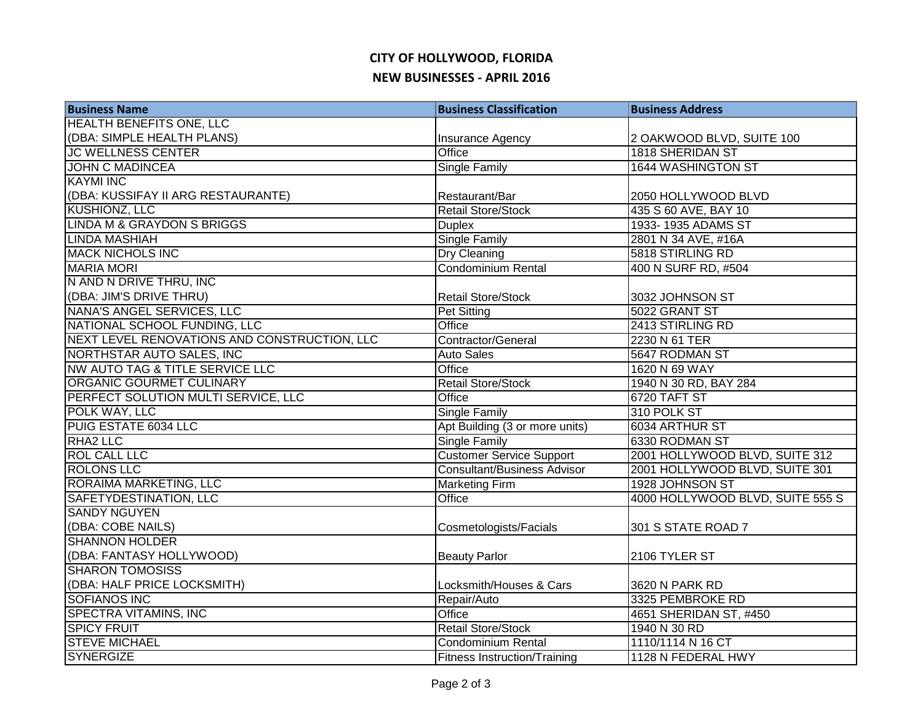## **CITY OF HOLLYWOOD, FLORIDA NEW BUSINESSES - APRIL 2016**

| <b>Business Name</b>                         | <b>Business Classification</b>      | <b>Business Address</b>          |
|----------------------------------------------|-------------------------------------|----------------------------------|
| <b>HEALTH BENEFITS ONE, LLC</b>              |                                     |                                  |
| (DBA: SIMPLE HEALTH PLANS)                   | Insurance Agency                    | 2 OAKWOOD BLVD, SUITE 100        |
| <b>JC WELLNESS CENTER</b>                    | Office                              | 1818 SHERIDAN ST                 |
| <b>JOHN C MADINCEA</b>                       | <b>Single Family</b>                | <b>1644 WASHINGTON ST</b>        |
| <b>KAYMI INC</b>                             |                                     |                                  |
| (DBA: KUSSIFAY II ARG RESTAURANTE)           | Restaurant/Bar                      | 2050 HOLLYWOOD BLVD              |
| <b>KUSHIONZ, LLC</b>                         | <b>Retail Store/Stock</b>           | 435 S 60 AVE, BAY 10             |
| <b>LINDA M &amp; GRAYDON S BRIGGS</b>        | <b>Duplex</b>                       | 1933-1935 ADAMS ST               |
| <b>LINDA MASHIAH</b>                         | <b>Single Family</b>                | 2801 N 34 AVE, #16A              |
| <b>MACK NICHOLS INC</b>                      | Dry Cleaning                        | 5818 STIRLING RD                 |
| <b>MARIA MORI</b>                            | <b>Condominium Rental</b>           | 400 N SURF RD, #504              |
| N AND N DRIVE THRU, INC                      |                                     |                                  |
| (DBA: JIM'S DRIVE THRU)                      | <b>Retail Store/Stock</b>           | 3032 JOHNSON ST                  |
| NANA'S ANGEL SERVICES, LLC                   | <b>Pet Sitting</b>                  | 5022 GRANT ST                    |
| NATIONAL SCHOOL FUNDING, LLC                 | Office                              | 2413 STIRLING RD                 |
| NEXT LEVEL RENOVATIONS AND CONSTRUCTION, LLC | Contractor/General                  | 2230 N 61 TER                    |
| NORTHSTAR AUTO SALES, INC                    | <b>Auto Sales</b>                   | 5647 RODMAN ST                   |
| NW AUTO TAG & TITLE SERVICE LLC              | Office                              | 1620 N 69 WAY                    |
| <b>ORGANIC GOURMET CULINARY</b>              | <b>Retail Store/Stock</b>           | 1940 N 30 RD, BAY 284            |
| PERFECT SOLUTION MULTI SERVICE, LLC          | Office                              | 6720 TAFT ST                     |
| POLK WAY, LLC                                | <b>Single Family</b>                | 310 POLK ST                      |
| PUIG ESTATE 6034 LLC                         | Apt Building (3 or more units)      | 6034 ARTHUR ST                   |
| RHA2 LLC                                     | <b>Single Family</b>                | 6330 RODMAN ST                   |
| <b>ROL CALL LLC</b>                          | Customer Service Support            | 2001 HOLLYWOOD BLVD, SUITE 312   |
| <b>ROLONS LLC</b>                            | <b>Consultant/Business Advisor</b>  | 2001 HOLLYWOOD BLVD, SUITE 301   |
| RORAIMA MARKETING, LLC                       | <b>Marketing Firm</b>               | 1928 JOHNSON ST                  |
| SAFETYDESTINATION, LLC                       | Office                              | 4000 HOLLYWOOD BLVD, SUITE 555 S |
| <b>SANDY NGUYEN</b>                          |                                     |                                  |
| (DBA: COBE NAILS)                            | Cosmetologists/Facials              | 301 S STATE ROAD 7               |
| <b>SHANNON HOLDER</b>                        |                                     |                                  |
| (DBA: FANTASY HOLLYWOOD)                     | <b>Beauty Parlor</b>                | 2106 TYLER ST                    |
| <b>SHARON TOMOSISS</b>                       |                                     |                                  |
| (DBA: HALF PRICE LOCKSMITH)                  | Locksmith/Houses & Cars             | 3620 N PARK RD                   |
| <b>SOFIANOS INC</b>                          | Repair/Auto                         | 3325 PEMBROKE RD                 |
| <b>SPECTRA VITAMINS, INC</b>                 | Office                              | 4651 SHERIDAN ST, #450           |
| <b>SPICY FRUIT</b>                           | <b>Retail Store/Stock</b>           | 1940 N 30 RD                     |
| <b>STEVE MICHAEL</b>                         | <b>Condominium Rental</b>           | 1110/1114 N 16 CT                |
| <b>SYNERGIZE</b>                             | <b>Fitness Instruction/Training</b> | 1128 N FEDERAL HWY               |